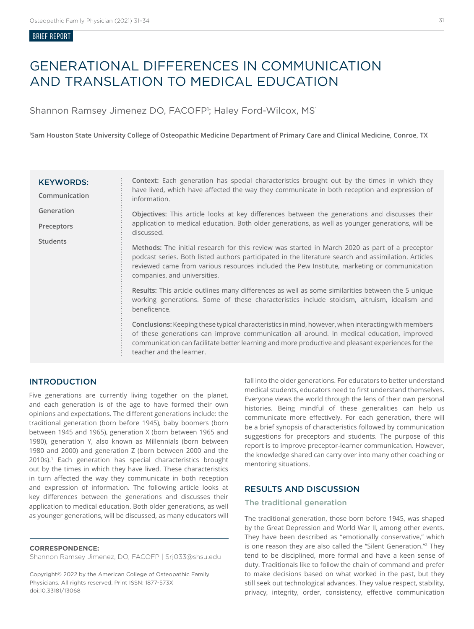#### BRIEF REPORT

# GENERATIONAL DIFFERENCES IN COMMUNICATION AND TRANSLATION TO MEDICAL EDUCATION

Shannon Ramsey Jimenez DO, FACOFP<sup>1</sup>; Haley Ford-Wilcox, MS<sup>1</sup>

1 **Sam Houston State University College of Osteopathic Medicine Department of Primary Care and Clinical Medicine, Conroe, TX**

| <b>KEYWORDS:</b><br>Communication | <b>Context:</b> Each generation has special characteristics brought out by the times in which they<br>have lived, which have affected the way they communicate in both reception and expression of<br>information.                                                                                                                    |
|-----------------------------------|---------------------------------------------------------------------------------------------------------------------------------------------------------------------------------------------------------------------------------------------------------------------------------------------------------------------------------------|
| Generation                        | Objectives: This article looks at key differences between the generations and discusses their<br>application to medical education. Both older generations, as well as younger generations, will be<br>discussed.                                                                                                                      |
| Preceptors                        |                                                                                                                                                                                                                                                                                                                                       |
| <b>Students</b>                   | Methods: The initial research for this review was started in March 2020 as part of a preceptor<br>podcast series. Both listed authors participated in the literature search and assimilation. Articles<br>reviewed came from various resources included the Pew Institute, marketing or communication<br>companies, and universities. |
|                                   | Results: This article outlines many differences as well as some similarities between the 5 unique<br>working generations. Some of these characteristics include stoicism, altruism, idealism and<br>beneficence.                                                                                                                      |
|                                   | Conclusions: Keeping these typical characteristics in mind, however, when interacting with members<br>of these generations can improve communication all around. In medical education, improved<br>communication can facilitate better learning and more productive and pleasant experiences for the<br>teacher and the learner.      |

# INTRODUCTION

Five generations are currently living together on the planet, and each generation is of the age to have formed their own opinions and expectations. The different generations include: the traditional generation (born before 1945), baby boomers (born between 1945 and 1965), generation X (born between 1965 and 1980), generation Y, also known as Millennials (born between 1980 and 2000) and generation Z (born between 2000 and the 2010s).1 Each generation has special characteristics brought out by the times in which they have lived. These characteristics in turn affected the way they communicate in both reception and expression of information. The following article looks at key differences between the generations and discusses their application to medical education. Both older generations, as well as younger generations, will be discussed, as many educators will

#### **CORRESPONDENCE:**

Shannon Ramsey Jimenez, DO, FACOFP | Srj033@shsu.edu

Copyright© 2022 by the American College of Osteopathic Family Physicians. All rights reserved. Print ISSN: 1877-573X doi:10.33181/13068

fall into the older generations. For educators to better understand medical students, educators need to first understand themselves. Everyone views the world through the lens of their own personal histories. Being mindful of these generalities can help us communicate more effectively. For each generation, there will be a brief synopsis of characteristics followed by communication suggestions for preceptors and students. The purpose of this report is to improve preceptor-learner communication. However, the knowledge shared can carry over into many other coaching or mentoring situations.

## RESULTS AND DISCUSSION

### The traditional generation

The traditional generation, those born before 1945, was shaped by the Great Depression and World War II, among other events. They have been described as "emotionally conservative," which is one reason they are also called the "Silent Generation."2 They tend to be disciplined, more formal and have a keen sense of duty. Traditionals like to follow the chain of command and prefer to make decisions based on what worked in the past, but they still seek out technological advances. They value respect, stability, privacy, integrity, order, consistency, effective communication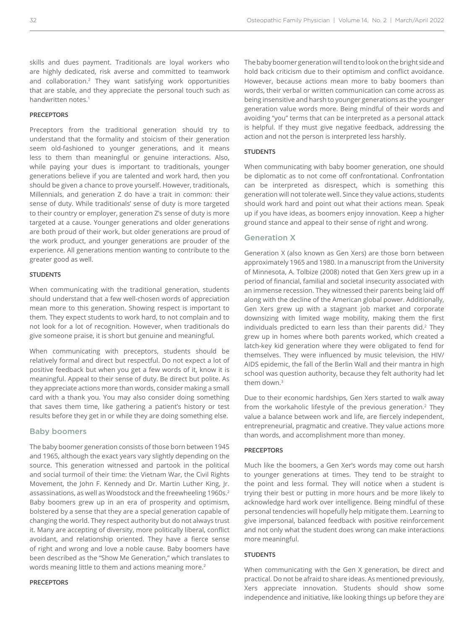skills and dues payment. Traditionals are loyal workers who are highly dedicated, risk averse and committed to teamwork and collaboration.2 They want satisfying work opportunities that are stable, and they appreciate the personal touch such as handwritten notes.<sup>1</sup>

#### **PRECEPTORS**

Preceptors from the traditional generation should try to understand that the formality and stoicism of their generation seem old-fashioned to younger generations, and it means less to them than meaningful or genuine interactions. Also, while paying your dues is important to traditionals, younger generations believe if you are talented and work hard, then you should be given a chance to prove yourself. However, traditionals, Millennials, and generation Z do have a trait in common: their sense of duty. While traditionals' sense of duty is more targeted to their country or employer, generation Z's sense of duty is more targeted at a cause. Younger generations and older generations are both proud of their work, but older generations are proud of the work product, and younger generations are prouder of the experience. All generations mention wanting to contribute to the greater good as well.

#### **STUDENTS**

When communicating with the traditional generation, students should understand that a few well-chosen words of appreciation mean more to this generation. Showing respect is important to them. They expect students to work hard, to not complain and to not look for a lot of recognition. However, when traditionals do give someone praise, it is short but genuine and meaningful.

When communicating with preceptors, students should be relatively formal and direct but respectful. Do not expect a lot of positive feedback but when you get a few words of it, know it is meaningful. Appeal to their sense of duty. Be direct but polite. As they appreciate actions more than words, consider making a small card with a thank you. You may also consider doing something that saves them time, like gathering a patient's history or test results before they get in or while they are doing something else.

#### Baby boomers

The baby boomer generation consists of those born between 1945 and 1965, although the exact years vary slightly depending on the source. This generation witnessed and partook in the political and social turmoil of their time: the Vietnam War, the Civil Rights Movement, the John F. Kennedy and Dr. Martin Luther King, Jr. assassinations, as well as Woodstock and the freewheeling 1960s.<sup>2</sup> Baby boomers grew up in an era of prosperity and optimism, bolstered by a sense that they are a special generation capable of changing the world. They respect authority but do not always trust it. Many are accepting of diversity, more politically liberal, conflict avoidant, and relationship oriented. They have a fierce sense of right and wrong and love a noble cause. Baby boomers have been described as the "Show Me Generation," which translates to words meaning little to them and actions meaning more.<sup>2</sup>

#### **PRECEPTORS**

The baby boomer generation will tend to look on the bright side and hold back criticism due to their optimism and conflict avoidance. However, because actions mean more to baby boomers than words, their verbal or written communication can come across as being insensitive and harsh to younger generations as the younger generation value words more. Being mindful of their words and avoiding "you" terms that can be interpreted as a personal attack is helpful. If they must give negative feedback, addressing the action and not the person is interpreted less harshly.

#### **STUDENTS**

When communicating with baby boomer generation, one should be diplomatic as to not come off confrontational. Confrontation can be interpreted as disrespect, which is something this generation will not tolerate well. Since they value actions, students should work hard and point out what their actions mean. Speak up if you have ideas, as boomers enjoy innovation. Keep a higher ground stance and appeal to their sense of right and wrong.

#### Generation X

Generation X (also known as Gen Xers) are those born between approximately 1965 and 1980. In a manuscript from the University of Minnesota, A. Tolbize (2008) noted that Gen Xers grew up in a period of financial, familial and societal insecurity associated with an immense recession. They witnessed their parents being laid off along with the decline of the American global power. Additionally, Gen Xers grew up with a stagnant job market and corporate downsizing with limited wage mobility, making them the first individuals predicted to earn less than their parents did.<sup>2</sup> They grew up in homes where both parents worked, which created a latch-key kid generation where they were obligated to fend for themselves. They were influenced by music television, the HIV/ AIDS epidemic, the fall of the Berlin Wall and their mantra in high school was question authority, because they felt authority had let them down.<sup>3</sup>

Due to their economic hardships, Gen Xers started to walk away from the workaholic lifestyle of the previous generation.<sup>2</sup> They value a balance between work and life, are fiercely independent, entrepreneurial, pragmatic and creative. They value actions more than words, and accomplishment more than money.

#### **PRECEPTORS**

Much like the boomers, a Gen Xer's words may come out harsh to younger generations at times. They tend to be straight to the point and less formal. They will notice when a student is trying their best or putting in more hours and be more likely to acknowledge hard work over intelligence. Being mindful of these personal tendencies will hopefully help mitigate them. Learning to give impersonal, balanced feedback with positive reinforcement and not only what the student does wrong can make interactions more meaningful.

#### **STUDENTS**

When communicating with the Gen X generation, be direct and practical. Do not be afraid to share ideas. As mentioned previously, Xers appreciate innovation. Students should show some independence and initiative, like looking things up before they are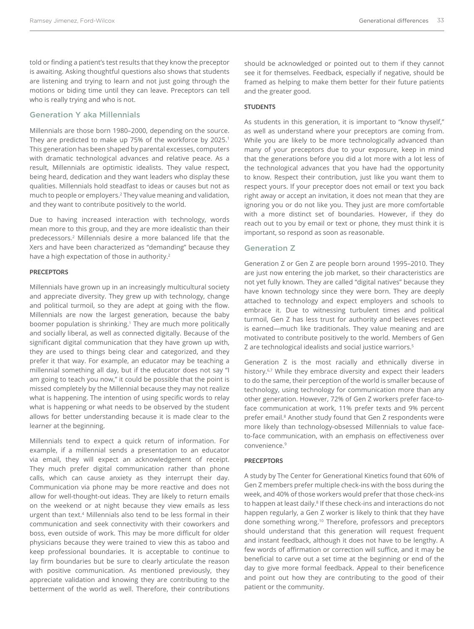told or finding a patient's test results that they know the preceptor is awaiting. Asking thoughtful questions also shows that students are listening and trying to learn and not just going through the motions or biding time until they can leave. Preceptors can tell who is really trying and who is not.

#### Generation Y aka Millennials

Millennials are those born 1980–2000, depending on the source. They are predicted to make up 75% of the workforce by 2025.<sup>1</sup> This generation has been shaped by parental excesses, computers with dramatic technological advances and relative peace. As a result, Millennials are optimistic idealists. They value respect, being heard, dedication and they want leaders who display these qualities. Millennials hold steadfast to ideas or causes but not as much to people or employers.2 They value meaning and validation, and they want to contribute positively to the world.

Due to having increased interaction with technology, words mean more to this group, and they are more idealistic than their predecessors.2 Millennials desire a more balanced life that the Xers and have been characterized as "demanding" because they have a high expectation of those in authority.<sup>2</sup>

#### **PRECEPTORS**

Millennials have grown up in an increasingly multicultural society and appreciate diversity. They grew up with technology, change and political turmoil, so they are adept at going with the flow. Millennials are now the largest generation, because the baby boomer population is shrinking.<sup>1</sup> They are much more politically and socially liberal, as well as connected digitally. Because of the significant digital communication that they have grown up with, they are used to things being clear and categorized, and they prefer it that way. For example, an educator may be teaching a millennial something all day, but if the educator does not say "I am going to teach you now," it could be possible that the point is missed completely by the Millennial because they may not realize what is happening. The intention of using specific words to relay what is happening or what needs to be observed by the student allows for better understanding because it is made clear to the learner at the beginning.

Millennials tend to expect a quick return of information. For example, if a millennial sends a presentation to an educator via email, they will expect an acknowledgement of receipt. They much prefer digital communication rather than phone calls, which can cause anxiety as they interrupt their day. Communication via phone may be more reactive and does not allow for well-thought-out ideas. They are likely to return emails on the weekend or at night because they view emails as less urgent than text.4 Millennials also tend to be less formal in their communication and seek connectivity with their coworkers and boss, even outside of work. This may be more difficult for older physicians because they were trained to view this as taboo and keep professional boundaries. It is acceptable to continue to lay firm boundaries but be sure to clearly articulate the reason with positive communication. As mentioned previously, they appreciate validation and knowing they are contributing to the betterment of the world as well. Therefore, their contributions

should be acknowledged or pointed out to them if they cannot see it for themselves. Feedback, especially if negative, should be framed as helping to make them better for their future patients and the greater good.

#### **STUDENTS**

As students in this generation, it is important to "know thyself," as well as understand where your preceptors are coming from. While you are likely to be more technologically advanced than many of your preceptors due to your exposure, keep in mind that the generations before you did a lot more with a lot less of the technological advances that you have had the opportunity to know. Respect their contribution, just like you want them to respect yours. If your preceptor does not email or text you back right away or accept an invitation, it does not mean that they are ignoring you or do not like you. They just are more comfortable with a more distinct set of boundaries. However, if they do reach out to you by email or text or phone, they must think it is important, so respond as soon as reasonable.

#### Generation Z

Generation Z or Gen Z are people born around 1995–2010. They are just now entering the job market, so their characteristics are not yet fully known. They are called "digital natives" because they have known technology since they were born. They are deeply attached to technology and expect employers and schools to embrace it. Due to witnessing turbulent times and political turmoil, Gen Z has less trust for authority and believes respect is earned—much like traditionals. They value meaning and are motivated to contribute positively to the world. Members of Gen Z are technological idealists and social justice warriors.5

Generation Z is the most racially and ethnically diverse in history.<sup>6,7</sup> While they embrace diversity and expect their leaders to do the same, their perception of the world is smaller because of technology, using technology for communication more than any other generation. However, 72% of Gen Z workers prefer face-toface communication at work, 11% prefer texts and 9% percent prefer email.<sup>8</sup> Another study found that Gen Z respondents were more likely than technology-obsessed Millennials to value faceto-face communication, with an emphasis on effectiveness over convenience.9

#### **PRECEPTORS**

A study by The Center for Generational Kinetics found that 60% of Gen Z members prefer multiple check-ins with the boss during the week, and 40% of those workers would prefer that those check-ins to happen at least daily.<sup>8</sup> If these check-ins and interactions do not happen regularly, a Gen Z worker is likely to think that they have done something wrong.10 Therefore, professors and preceptors should understand that this generation will request frequent and instant feedback, although it does not have to be lengthy. A few words of affirmation or correction will suffice, and it may be beneficial to carve out a set time at the beginning or end of the day to give more formal feedback. Appeal to their beneficence and point out how they are contributing to the good of their patient or the community.